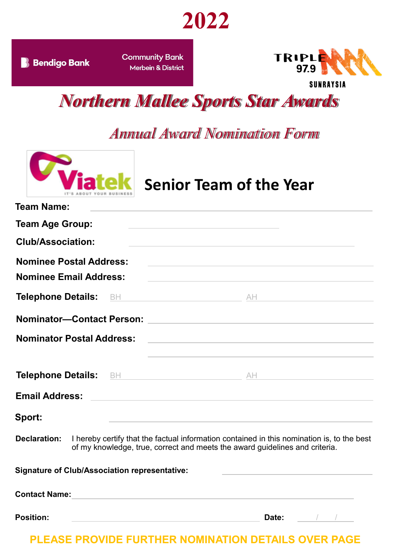

**B** Bendigo Bank

**Community Bank Merbein & District** 



*Northern Mallee Sports Star Awards*

## *Annual Award Nomination Form*



**Senior Team of the Year**

| <b>Team Name:</b>                                    | the control of the control of the control of the control of the control of                                                                                                                                                    |
|------------------------------------------------------|-------------------------------------------------------------------------------------------------------------------------------------------------------------------------------------------------------------------------------|
| <b>Team Age Group:</b>                               | the control of the control of the control of the control of the control of the control of                                                                                                                                     |
| <b>Club/Association:</b>                             | the control of the control of the control of the control of the control of the control of the control of the control of the control of the control of the control of the control of the control of the control of the control |
| <b>Nominee Postal Address:</b>                       | <u> 1989 - Andrea State Barbara, amerikan personal di sebagai personal di sebagai personal di sebagai personal di</u>                                                                                                         |
| <b>Nominee Email Address:</b>                        | the control of the control of the control of the control of the control of the control of                                                                                                                                     |
| <b>Telephone Details:</b><br><b>BH</b>               |                                                                                                                                                                                                                               |
| <b>Nominator-Contact Person:</b>                     | <u> 1989 - Johann Stein, mars an deutscher Stein und der Stein und der Stein und der Stein und der Stein und der</u>                                                                                                          |
| <b>Nominator Postal Address:</b>                     | <u> 1980 - Andrea Station Barbara, actor a component de la componentación de la componentación de la componentaci</u>                                                                                                         |
|                                                      |                                                                                                                                                                                                                               |
| <b>Email Address:</b>                                | <u> 1989 - Johann Barbara, margaret eta biztanleria (h. 1989).</u><br>1980 - Johann Barbara, inpariar eta biztanleria (h. 1980).                                                                                              |
| Sport:                                               |                                                                                                                                                                                                                               |
| Declaration:                                         | I hereby certify that the factual information contained in this nomination is, to the best<br>of my knowledge, true, correct and meets the award guidelines and criteria.                                                     |
| <b>Signature of Club/Association representative:</b> | the control of the control of the control of the control of the control of                                                                                                                                                    |
| <b>Contact Name:</b>                                 |                                                                                                                                                                                                                               |

**Position: Date:** / /

**PLEASE PROVIDE FURTHER NOMINATION DETAILS OVER PAGE**